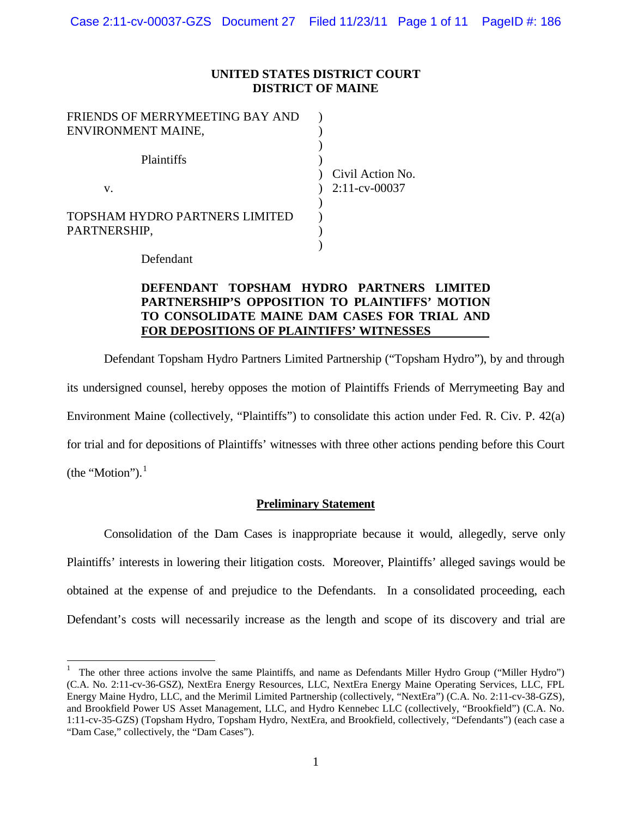## **UNITED STATES DISTRICT COURT DISTRICT OF MAINE**

| FRIENDS OF MERRYMEETING BAY AND                |                  |
|------------------------------------------------|------------------|
| ENVIRONMENT MAINE,                             |                  |
| <b>Plaintiffs</b>                              | Civil Action No. |
| $V_{-}$                                        | $2:11$ -cv-00037 |
| TOPSHAM HYDRO PARTNERS LIMITED<br>PARTNERSHIP, |                  |

Defendant

# **DEFENDANT TOPSHAM HYDRO PARTNERS LIMITED PARTNERSHIP'S OPPOSITION TO PLAINTIFFS' MOTION TO CONSOLIDATE MAINE DAM CASES FOR TRIAL AND FOR DEPOSITIONS OF PLAINTIFFS' WITNESSES**

Defendant Topsham Hydro Partners Limited Partnership ("Topsham Hydro"), by and through its undersigned counsel, hereby opposes the motion of Plaintiffs Friends of Merrymeeting Bay and Environment Maine (collectively, "Plaintiffs") to consolidate this action under Fed. R. Civ. P. 42(a) for trial and for depositions of Plaintiffs' witnesses with three other actions pending before this Court (the "Motion"). $<sup>1</sup>$  $<sup>1</sup>$  $<sup>1</sup>$ </sup>

## **Preliminary Statement**

Consolidation of the Dam Cases is inappropriate because it would, allegedly, serve only Plaintiffs' interests in lowering their litigation costs. Moreover, Plaintiffs' alleged savings would be obtained at the expense of and prejudice to the Defendants. In a consolidated proceeding, each Defendant's costs will necessarily increase as the length and scope of its discovery and trial are

<span id="page-0-0"></span><sup>&</sup>lt;sup>1</sup> The other three actions involve the same Plaintiffs, and name as Defendants Miller Hydro Group ("Miller Hydro") (C.A. No. 2:11-cv-36-GSZ), NextEra Energy Resources, LLC, NextEra Energy Maine Operating Services, LLC, FPL Energy Maine Hydro, LLC, and the Merimil Limited Partnership (collectively, "NextEra") (C.A. No. 2:11-cv-38-GZS), and Brookfield Power US Asset Management, LLC, and Hydro Kennebec LLC (collectively, "Brookfield") (C.A. No. 1:11-cv-35-GZS) (Topsham Hydro, Topsham Hydro, NextEra, and Brookfield, collectively, "Defendants") (each case a "Dam Case," collectively, the "Dam Cases").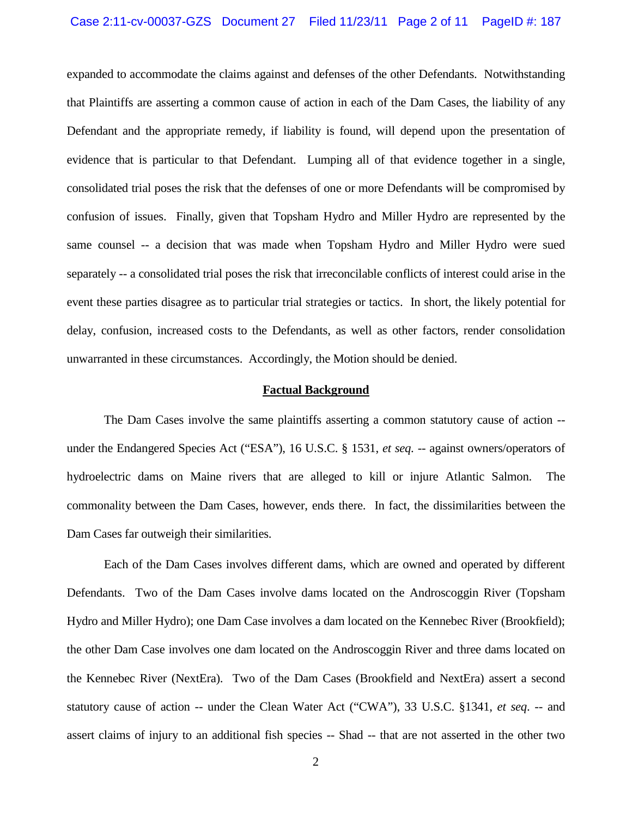#### Case 2:11-cv-00037-GZS Document 27 Filed 11/23/11 Page 2 of 11 PageID #: 187

expanded to accommodate the claims against and defenses of the other Defendants. Notwithstanding that Plaintiffs are asserting a common cause of action in each of the Dam Cases, the liability of any Defendant and the appropriate remedy, if liability is found, will depend upon the presentation of evidence that is particular to that Defendant. Lumping all of that evidence together in a single, consolidated trial poses the risk that the defenses of one or more Defendants will be compromised by confusion of issues. Finally, given that Topsham Hydro and Miller Hydro are represented by the same counsel -- a decision that was made when Topsham Hydro and Miller Hydro were sued separately -- a consolidated trial poses the risk that irreconcilable conflicts of interest could arise in the event these parties disagree as to particular trial strategies or tactics. In short, the likely potential for delay, confusion, increased costs to the Defendants, as well as other factors, render consolidation unwarranted in these circumstances. Accordingly, the Motion should be denied.

#### **Factual Background**

The Dam Cases involve the same plaintiffs asserting a common statutory cause of action - under the Endangered Species Act ("ESA"), 16 U.S.C. § 1531, *et seq. --* against owners/operators of hydroelectric dams on Maine rivers that are alleged to kill or injure Atlantic Salmon. The commonality between the Dam Cases, however, ends there. In fact, the dissimilarities between the Dam Cases far outweigh their similarities.

Each of the Dam Cases involves different dams, which are owned and operated by different Defendants. Two of the Dam Cases involve dams located on the Androscoggin River (Topsham Hydro and Miller Hydro); one Dam Case involves a dam located on the Kennebec River (Brookfield); the other Dam Case involves one dam located on the Androscoggin River and three dams located on the Kennebec River (NextEra). Two of the Dam Cases (Brookfield and NextEra) assert a second statutory cause of action -- under the Clean Water Act ("CWA"), 33 U.S.C. §1341, *et seq*. -- and assert claims of injury to an additional fish species -- Shad -- that are not asserted in the other two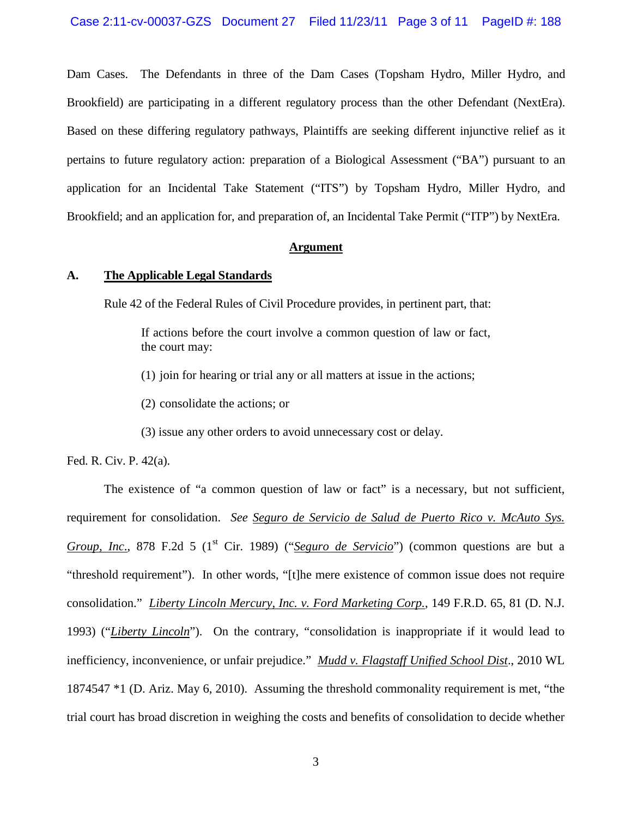Dam Cases. The Defendants in three of the Dam Cases (Topsham Hydro, Miller Hydro, and Brookfield) are participating in a different regulatory process than the other Defendant (NextEra). Based on these differing regulatory pathways, Plaintiffs are seeking different injunctive relief as it pertains to future regulatory action: preparation of a Biological Assessment ("BA") pursuant to an application for an Incidental Take Statement ("ITS") by Topsham Hydro, Miller Hydro, and Brookfield; and an application for, and preparation of, an Incidental Take Permit ("ITP") by NextEra.

#### **Argument**

### **A. The Applicable Legal Standards**

Rule 42 of the Federal Rules of Civil Procedure provides, in pertinent part, that:

If actions before the court involve a common question of law or fact, the court may:

(1) join for hearing or trial any or all matters at issue in the actions;

(2) consolidate the actions; or

(3) issue any other orders to avoid unnecessary cost or delay.

Fed. R. Civ. P. 42(a).

The existence of "a common question of law or fact" is a necessary, but not sufficient, requirement for consolidation. *See Seguro de Servicio de Salud de Puerto Rico v. McAuto Sys. Group, Inc.*, 878 F.2d 5 (1<sup>st</sup> Cir. 1989) ("*Seguro de Servicio*") (common questions are but a "threshold requirement"). In other words, "[t]he mere existence of common issue does not require consolidation." *Liberty Lincoln Mercury, Inc. v. Ford Marketing Corp.*, 149 F.R.D. 65, 81 (D. N.J. 1993) ("*Liberty Lincoln*"). On the contrary, "consolidation is inappropriate if it would lead to inefficiency, inconvenience, or unfair prejudice." *Mudd v. Flagstaff Unified School Dist*., 2010 WL 1874547 \*1 (D. Ariz. May 6, 2010). Assuming the threshold commonality requirement is met, "the trial court has broad discretion in weighing the costs and benefits of consolidation to decide whether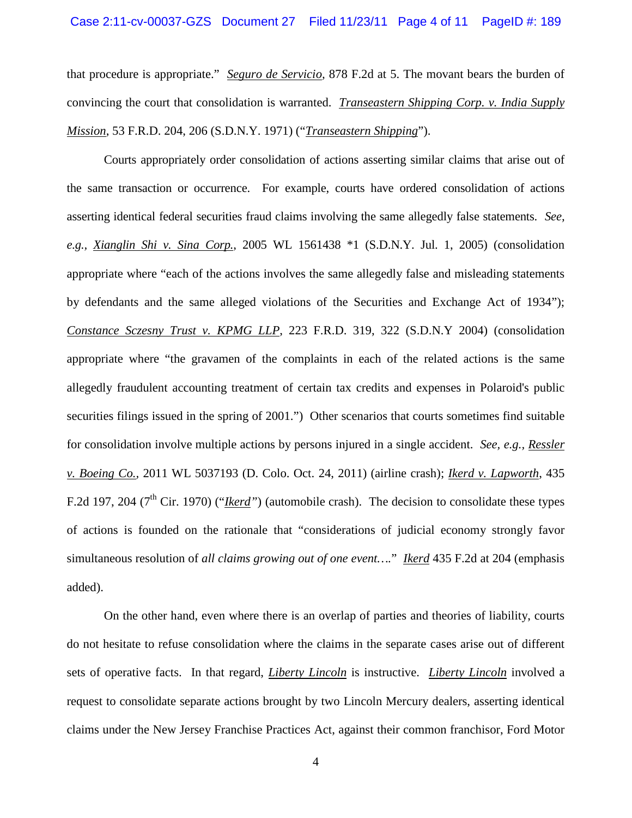that procedure is appropriate." *Seguro de Servicio,* 878 F.2d at 5. The movant bears the burden of convincing the court that consolidation is warranted. *Transeastern Shipping Corp. v. India Supply Mission*, 53 F.R.D. 204, 206 (S.D.N.Y. 1971) ("*Transeastern Shipping*").

Courts appropriately order consolidation of actions asserting similar claims that arise out of the same transaction or occurrence. For example, courts have ordered consolidation of actions asserting identical federal securities fraud claims involving the same allegedly false statements. *See, e.g., Xianglin Shi v. Sina Corp.*, 2005 WL 1561438 \*1 (S.D.N.Y. Jul. 1, 2005) (consolidation appropriate where "each of the actions involves the same allegedly false and misleading statements by defendants and the same alleged violations of the Securities and Exchange Act of 1934"); *Constance Sczesny Trust v. KPMG LLP*, 223 F.R.D. 319, 322 (S.D.N.Y 2004) (consolidation appropriate where "the gravamen of the complaints in each of the related actions is the same allegedly fraudulent accounting treatment of certain tax credits and expenses in Polaroid's public securities filings issued in the spring of 2001.") Other scenarios that courts sometimes find suitable for consolidation involve multiple actions by persons injured in a single accident. *See, e.g., Ressler v. [Boeing Co](http://elibraries.westlaw.com/find/default.wl?docname=CIK(0000012927+LE10219550)&rp=%2ffind%2fdefault.wl&sv=Split&utid=2&rs=EW1.0&db=CO-LPAGE&findtype=l&fn=_top&mt=TabTemplate1&vr=2.0&spa=bernshur-5001).,* 2011 WL 5037193 (D. Colo. Oct. 24, 2011) (airline crash); *Ikerd v. Lapworth*, 435 F.2d 197, 204 (7<sup>th</sup> Cir. 1970) ("*Ikerd*") (automobile crash). The decision to consolidate these types of actions is founded on the rationale that "considerations of judicial economy strongly favor simultaneous resolution of *all claims growing out of one event….*" *Ikerd* 435 F.2d at 204 (emphasis added).

On the other hand, even where there is an overlap of parties and theories of liability, courts do not hesitate to refuse consolidation where the claims in the separate cases arise out of different sets of operative facts. In that regard, *Liberty Lincoln* is instructive. *Liberty Lincoln* involved a request to consolidate separate actions brought by two Lincoln Mercury dealers, asserting identical claims under the New Jersey Franchise Practices Act, against their common franchisor, Ford Motor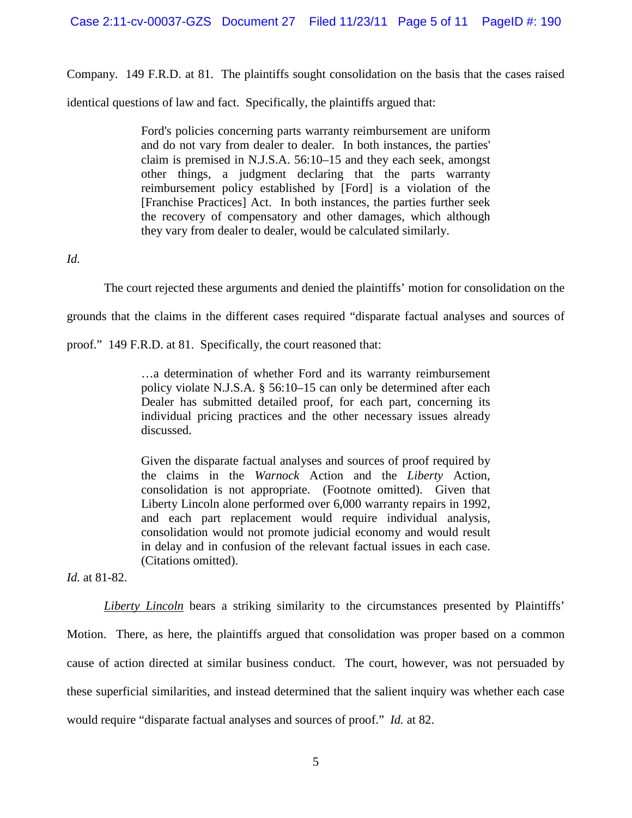Company. 149 F.R.D. at 81. The plaintiffs sought consolidation on the basis that the cases raised

identical questions of law and fact. Specifically, the plaintiffs argued that:

Ford's policies concerning parts warranty reimbursement are uniform and do not vary from dealer to dealer. In both instances, the parties' claim is premised in [N.J.S.A. 56:10–15](http://elibraries.westlaw.com/find/default.wl?tc=-1&sp=bernshur-5001&docname=NJST56%3a10-15&rp=%2ffind%2fdefault.wl&sv=Split&rs=EW1.0&db=1000045&tf=-1&findtype=L&fn=_top&vr=2.0&pbc=817309AD&ordoc=1993121234) and they each seek, amongst other things, a judgment declaring that the parts warranty reimbursement policy established by [Ford] is a violation of the [Franchise Practices] Act. In both instances, the parties further seek the recovery of compensatory and other damages, which although they vary from dealer to dealer, would be calculated similarly.

*Id.*

The court rejected these arguments and denied the plaintiffs' motion for consolidation on the

grounds that the claims in the different cases required "disparate factual analyses and sources of

proof." 149 F.R.D. at 81. Specifically, the court reasoned that:

…a determination of whether Ford and its warranty reimbursement policy violate [N.J.S.A. § 56:10–15](http://elibraries.westlaw.com/find/default.wl?tc=-1&docname=NJST56%3a10-15&rp=%2ffind%2fdefault.wl&sv=Split&utid=2&rs=EW1.0&db=1000045&tf=-1&findtype=L&fn=_top&mt=TabTemplate1&vr=2.0&spa=bernshur-5001&pbc=E81B80E1&ordoc=1993121234) can only be determined after each Dealer has submitted detailed proof, for each part, concerning its individual pricing practices and the other necessary issues already discussed.

Given the disparate factual analyses and sources of proof required by the claims in the *Warnock* Action and the *Liberty* Action, consolidation is not appropriate. (Footnote omitted). Given that Liberty Lincoln alone performed over 6,000 warranty repairs in 1992, and each part replacement would require individual analysis, consolidation would not promote judicial economy and would result in delay and in confusion of the relevant factual issues in each case. (Citations omitted).

*Id.* at 81-82.

*Liberty Lincoln* bears a striking similarity to the circumstances presented by Plaintiffs'

Motion. There, as here, the plaintiffs argued that consolidation was proper based on a common cause of action directed at similar business conduct. The court, however, was not persuaded by these superficial similarities, and instead determined that the salient inquiry was whether each case would require "disparate factual analyses and sources of proof." *Id.* at 82.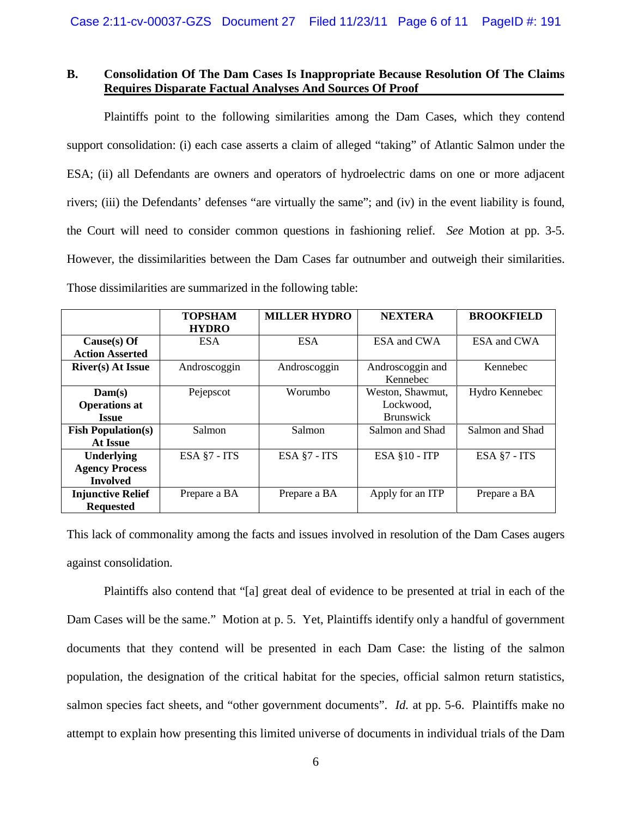## **B. Consolidation Of The Dam Cases Is Inappropriate Because Resolution Of The Claims Requires Disparate Factual Analyses And Sources Of Proof**

Plaintiffs point to the following similarities among the Dam Cases, which they contend support consolidation: (i) each case asserts a claim of alleged "taking" of Atlantic Salmon under the ESA; (ii) all Defendants are owners and operators of hydroelectric dams on one or more adjacent rivers; (iii) the Defendants' defenses "are virtually the same"; and (iv) in the event liability is found, the Court will need to consider common questions in fashioning relief. *See* Motion at pp. 3-5. However, the dissimilarities between the Dam Cases far outnumber and outweigh their similarities. Those dissimilarities are summarized in the following table:

|                           | <b>TOPSHAM</b> | <b>MILLER HYDRO</b> | <b>NEXTERA</b>       | <b>BROOKFIELD</b> |
|---------------------------|----------------|---------------------|----------------------|-------------------|
|                           | <b>HYDRO</b>   |                     |                      |                   |
| $Cause(s)$ Of             | <b>ESA</b>     | <b>ESA</b>          | ESA and CWA          | ESA and CWA       |
| <b>Action Asserted</b>    |                |                     |                      |                   |
| <b>River(s)</b> At Issue  | Androscoggin   | Androscoggin        | Androscoggin and     | Kennebec          |
|                           |                |                     | Kennebec             |                   |
| Dam(s)                    | Pejepscot      | Worumbo             | Weston, Shawmut,     | Hydro Kennebec    |
| <b>Operations at</b>      |                |                     | Lockwood.            |                   |
| <b>Issue</b>              |                |                     | <b>Brunswick</b>     |                   |
| <b>Fish Population(s)</b> | Salmon         | Salmon              | Salmon and Shad      | Salmon and Shad   |
| At Issue                  |                |                     |                      |                   |
| <b>Underlying</b>         | ESA §7 - ITS   | ESA §7 - ITS        | <b>ESA §10 - ITP</b> | ESA §7 - ITS      |
| <b>Agency Process</b>     |                |                     |                      |                   |
| <b>Involved</b>           |                |                     |                      |                   |
| <b>Injunctive Relief</b>  | Prepare a BA   | Prepare a BA        | Apply for an ITP     | Prepare a BA      |
| <b>Requested</b>          |                |                     |                      |                   |

This lack of commonality among the facts and issues involved in resolution of the Dam Cases augers against consolidation.

Plaintiffs also contend that "[a] great deal of evidence to be presented at trial in each of the Dam Cases will be the same." Motion at p. 5. Yet, Plaintiffs identify only a handful of government documents that they contend will be presented in each Dam Case: the listing of the salmon population, the designation of the critical habitat for the species, official salmon return statistics, salmon species fact sheets, and "other government documents". *Id.* at pp. 5-6. Plaintiffs make no attempt to explain how presenting this limited universe of documents in individual trials of the Dam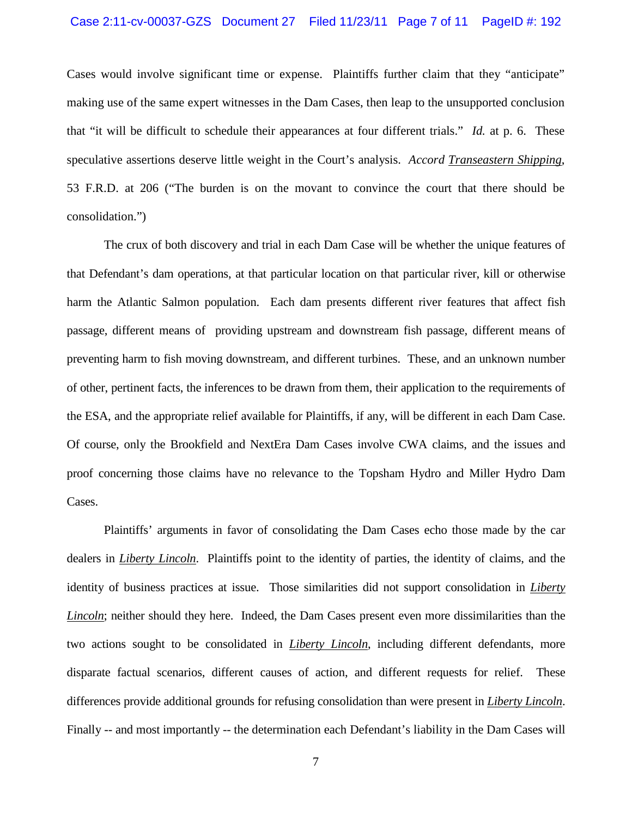#### Case 2:11-cv-00037-GZS Document 27 Filed 11/23/11 Page 7 of 11 PageID #: 192

Cases would involve significant time or expense. Plaintiffs further claim that they "anticipate" making use of the same expert witnesses in the Dam Cases, then leap to the unsupported conclusion that "it will be difficult to schedule their appearances at four different trials." *Id.* at p. 6. These speculative assertions deserve little weight in the Court's analysis. *Accord Transeastern Shipping*, 53 F.R.D. at 206 ("The burden is on the movant to convince the court that there should be consolidation.")

The crux of both discovery and trial in each Dam Case will be whether the unique features of that Defendant's dam operations, at that particular location on that particular river, kill or otherwise harm the Atlantic Salmon population. Each dam presents different river features that affect fish passage, different means of providing upstream and downstream fish passage, different means of preventing harm to fish moving downstream, and different turbines. These, and an unknown number of other, pertinent facts, the inferences to be drawn from them, their application to the requirements of the ESA, and the appropriate relief available for Plaintiffs, if any, will be different in each Dam Case. Of course, only the Brookfield and NextEra Dam Cases involve CWA claims, and the issues and proof concerning those claims have no relevance to the Topsham Hydro and Miller Hydro Dam Cases.

Plaintiffs' arguments in favor of consolidating the Dam Cases echo those made by the car dealers in *Liberty Lincoln*. Plaintiffs point to the identity of parties, the identity of claims, and the identity of business practices at issue. Those similarities did not support consolidation in *Liberty Lincoln*; neither should they here. Indeed, the Dam Cases present even more dissimilarities than the two actions sought to be consolidated in *Liberty Lincoln*, including different defendants, more disparate factual scenarios, different causes of action, and different requests for relief. These differences provide additional grounds for refusing consolidation than were present in *Liberty Lincoln*. Finally -- and most importantly -- the determination each Defendant's liability in the Dam Cases will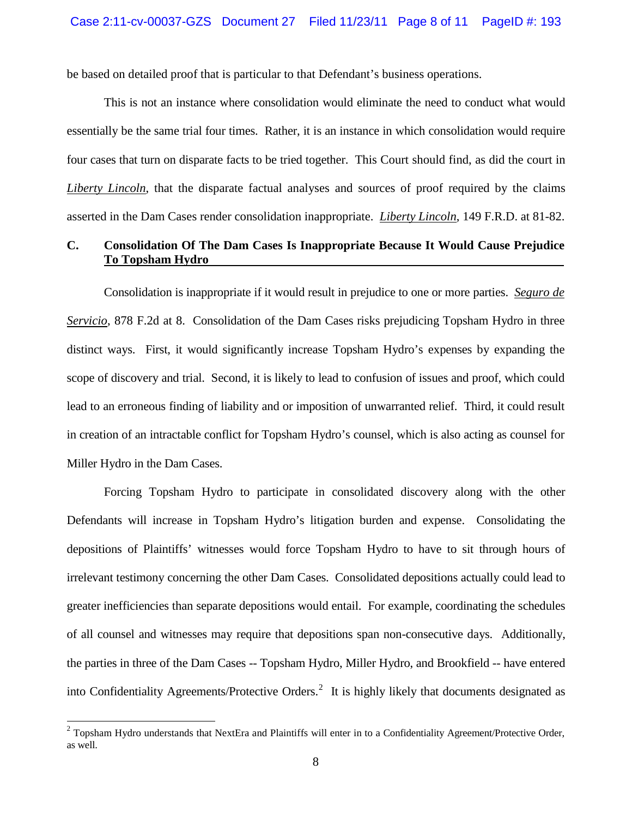be based on detailed proof that is particular to that Defendant's business operations.

This is not an instance where consolidation would eliminate the need to conduct what would essentially be the same trial four times. Rather, it is an instance in which consolidation would require four cases that turn on disparate facts to be tried together. This Court should find, as did the court in *Liberty Lincoln*, that the disparate factual analyses and sources of proof required by the claims asserted in the Dam Cases render consolidation inappropriate. *Liberty Lincoln*, 149 F.R.D. at 81-82.

# **C. Consolidation Of The Dam Cases Is Inappropriate Because It Would Cause Prejudice To Topsham Hydro**

Consolidation is inappropriate if it would result in prejudice to one or more parties. *Seguro de Servicio*, 878 F.2d at 8. Consolidation of the Dam Cases risks prejudicing Topsham Hydro in three distinct ways. First, it would significantly increase Topsham Hydro's expenses by expanding the scope of discovery and trial. Second, it is likely to lead to confusion of issues and proof, which could lead to an erroneous finding of liability and or imposition of unwarranted relief. Third, it could result in creation of an intractable conflict for Topsham Hydro's counsel, which is also acting as counsel for Miller Hydro in the Dam Cases.

Forcing Topsham Hydro to participate in consolidated discovery along with the other Defendants will increase in Topsham Hydro's litigation burden and expense. Consolidating the depositions of Plaintiffs' witnesses would force Topsham Hydro to have to sit through hours of irrelevant testimony concerning the other Dam Cases. Consolidated depositions actually could lead to greater inefficiencies than separate depositions would entail. For example, coordinating the schedules of all counsel and witnesses may require that depositions span non-consecutive days. Additionally, the parties in three of the Dam Cases -- Topsham Hydro, Miller Hydro, and Brookfield -- have entered into Confidentiality Agreements/Protective Orders.<sup>[2](#page-7-0)</sup> It is highly likely that documents designated as

<span id="page-7-0"></span> $2$  Topsham Hydro understands that NextEra and Plaintiffs will enter in to a Confidentiality Agreement/Protective Order, as well.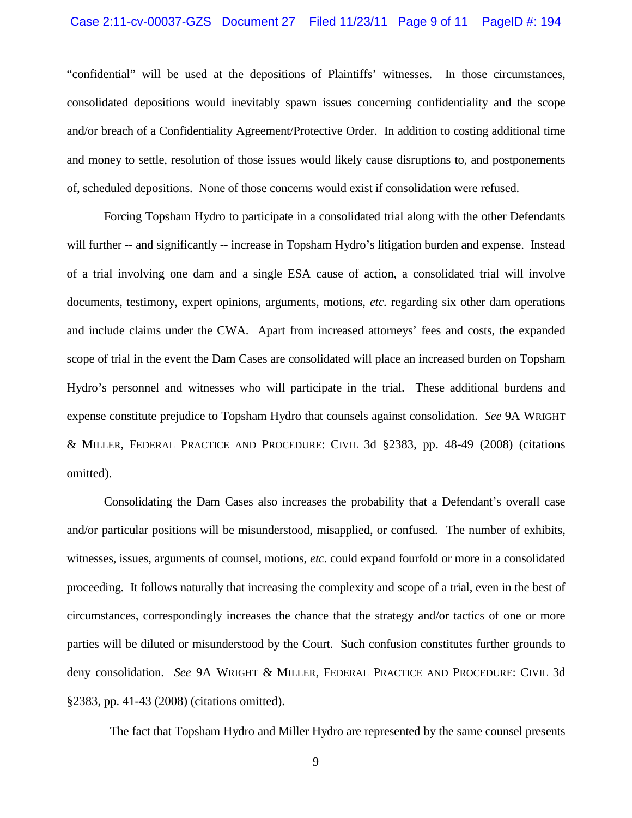#### Case 2:11-cv-00037-GZS Document 27 Filed 11/23/11 Page 9 of 11 PageID #: 194

"confidential" will be used at the depositions of Plaintiffs' witnesses. In those circumstances, consolidated depositions would inevitably spawn issues concerning confidentiality and the scope and/or breach of a Confidentiality Agreement/Protective Order. In addition to costing additional time and money to settle, resolution of those issues would likely cause disruptions to, and postponements of, scheduled depositions. None of those concerns would exist if consolidation were refused.

Forcing Topsham Hydro to participate in a consolidated trial along with the other Defendants will further -- and significantly -- increase in Topsham Hydro's litigation burden and expense. Instead of a trial involving one dam and a single ESA cause of action, a consolidated trial will involve documents, testimony, expert opinions, arguments, motions, *etc.* regarding six other dam operations and include claims under the CWA. Apart from increased attorneys' fees and costs, the expanded scope of trial in the event the Dam Cases are consolidated will place an increased burden on Topsham Hydro's personnel and witnesses who will participate in the trial. These additional burdens and expense constitute prejudice to Topsham Hydro that counsels against consolidation. *See* 9A WRIGHT & MILLER, FEDERAL PRACTICE AND PROCEDURE: CIVIL 3d §2383, pp. 48-49 (2008) (citations omitted).

Consolidating the Dam Cases also increases the probability that a Defendant's overall case and/or particular positions will be misunderstood, misapplied, or confused. The number of exhibits, witnesses, issues, arguments of counsel, motions, *etc.* could expand fourfold or more in a consolidated proceeding. It follows naturally that increasing the complexity and scope of a trial, even in the best of circumstances, correspondingly increases the chance that the strategy and/or tactics of one or more parties will be diluted or misunderstood by the Court. Such confusion constitutes further grounds to deny consolidation. *See* 9A WRIGHT & MILLER, FEDERAL PRACTICE AND PROCEDURE: CIVIL 3d §2383, pp. 41-43 (2008) (citations omitted).

The fact that Topsham Hydro and Miller Hydro are represented by the same counsel presents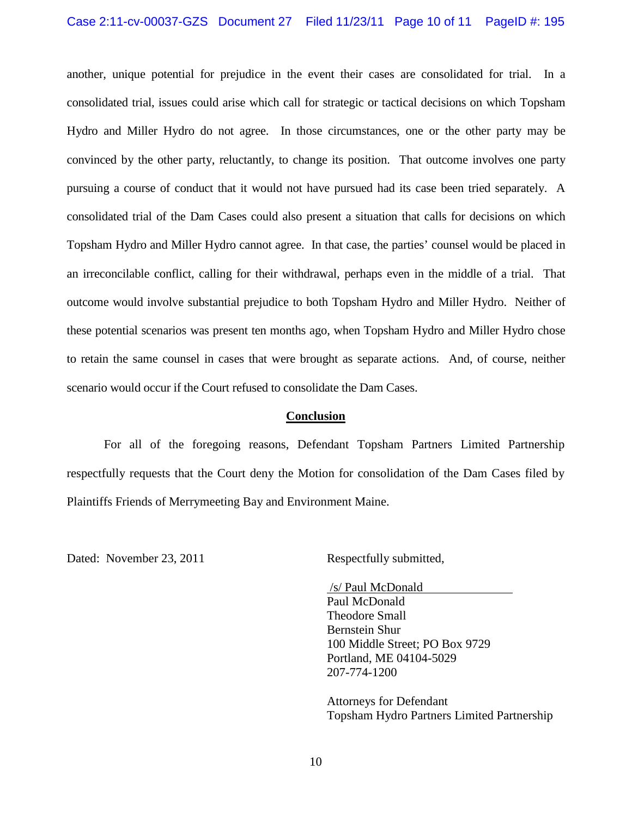### Case 2:11-cv-00037-GZS Document 27 Filed 11/23/11 Page 10 of 11 PageID #: 195

another, unique potential for prejudice in the event their cases are consolidated for trial. In a consolidated trial, issues could arise which call for strategic or tactical decisions on which Topsham Hydro and Miller Hydro do not agree. In those circumstances, one or the other party may be convinced by the other party, reluctantly, to change its position. That outcome involves one party pursuing a course of conduct that it would not have pursued had its case been tried separately. A consolidated trial of the Dam Cases could also present a situation that calls for decisions on which Topsham Hydro and Miller Hydro cannot agree. In that case, the parties' counsel would be placed in an irreconcilable conflict, calling for their withdrawal, perhaps even in the middle of a trial. That outcome would involve substantial prejudice to both Topsham Hydro and Miller Hydro. Neither of these potential scenarios was present ten months ago, when Topsham Hydro and Miller Hydro chose to retain the same counsel in cases that were brought as separate actions. And, of course, neither scenario would occur if the Court refused to consolidate the Dam Cases.

### **Conclusion**

For all of the foregoing reasons, Defendant Topsham Partners Limited Partnership respectfully requests that the Court deny the Motion for consolidation of the Dam Cases filed by Plaintiffs Friends of Merrymeeting Bay and Environment Maine.

Dated: November 23, 2011 Respectfully submitted,

/s/ Paul McDonald Paul McDonald Theodore Small Bernstein Shur 100 Middle Street; PO Box 9729 Portland, ME 04104-5029 207-774-1200

Attorneys for Defendant Topsham Hydro Partners Limited Partnership